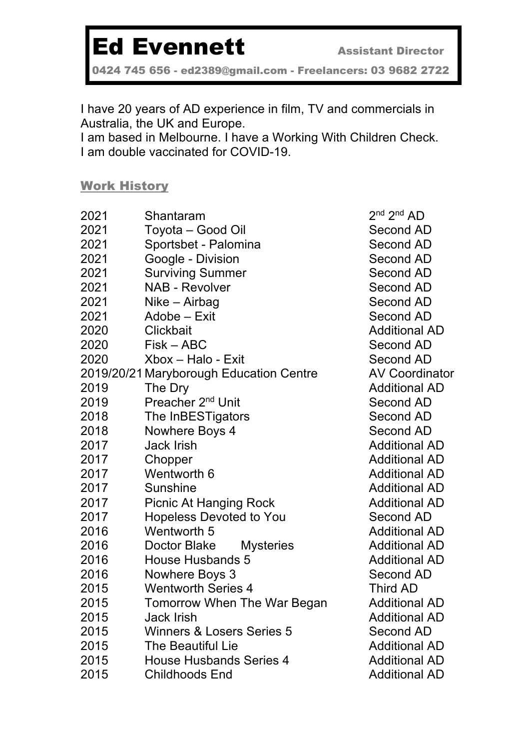## Ed Evennett **Assistant Director**

0424 745 656 - ed2389@gmail.com - Freelancers: 03 9682 2722

I have 20 years of AD experience in film, TV and commercials in Australia, the UK and Europe.

I am based in Melbourne. I have a Working With Children Check. I am double vaccinated for COVID-19.

Work History

| 2021 | Shantaram                               | 2 <sup>nd</sup> 2 <sup>nd</sup> AD |
|------|-----------------------------------------|------------------------------------|
| 2021 | Toyota - Good Oil                       | <b>Second Al</b>                   |
| 2021 | Sportsbet - Palomina                    | <b>Second Al</b>                   |
| 2021 | Google - Division                       | <b>Second Al</b>                   |
| 2021 | <b>Surviving Summer</b>                 | <b>Second Al</b>                   |
| 2021 | <b>NAB - Revolver</b>                   | <b>Second Al</b>                   |
| 2021 | Nike – Airbag                           | <b>Second Al</b>                   |
| 2021 | Adobe - Exit                            | <b>Second Al</b>                   |
| 2020 | <b>Clickbait</b>                        | Additional                         |
| 2020 | Fisk – ABC                              | <b>Second Al</b>                   |
| 2020 | Xbox - Halo - Exit                      | <b>Second Al</b>                   |
|      | 2019/20/21 Maryborough Education Centre | <b>AV Coordi</b>                   |
| 2019 | The Dry                                 | Additional                         |
| 2019 | Preacher 2 <sup>nd</sup> Unit           | <b>Second Al</b>                   |
| 2018 | The InBESTigators                       | Second Al                          |
| 2018 | Nowhere Boys 4                          | <b>Second Al</b>                   |
| 2017 | <b>Jack Irish</b>                       | Additional                         |
| 2017 | Chopper                                 | Additional                         |
| 2017 | Wentworth 6                             | Additional                         |
| 2017 | Sunshine                                | Additional                         |
| 2017 | <b>Picnic At Hanging Rock</b>           | Additional                         |
| 2017 | <b>Hopeless Devoted to You</b>          | <b>Second Al</b>                   |
| 2016 | <b>Wentworth 5</b>                      | Additional                         |
| 2016 | Doctor Blake<br><b>Mysteries</b>        | Additional                         |
| 2016 | House Husbands 5                        | Additional                         |
| 2016 | Nowhere Boys 3                          | <b>Second Al</b>                   |
| 2015 | <b>Wentworth Series 4</b>               | Third AD                           |
| 2015 | Tomorrow When The War Began             | Additional                         |
| 2015 | <b>Jack Irish</b>                       | Additional                         |
| 2015 | <b>Winners &amp; Losers Series 5</b>    | <b>Second Al</b>                   |
| 2015 | <b>The Beautiful Lie</b>                | Additional                         |
| 2015 | <b>House Husbands Series 4</b>          | Additional                         |
| 2015 | <b>Childhoods End</b>                   | Additional                         |
|      |                                         |                                    |

Second AD Second AD Second AD Second AD Second AD Second AD Second AD Additional AD Second AD Second AD AV Coordinator Additional AD Second AD Second AD Second AD Additional AD Additional AD Additional AD **Additional AD** Additional AD Second AD **Additional AD Additional AD Additional AD** Second AD Third AD **Additional AD** Additional AD Second AD **Additional AD** Additional AD **Additional AD**